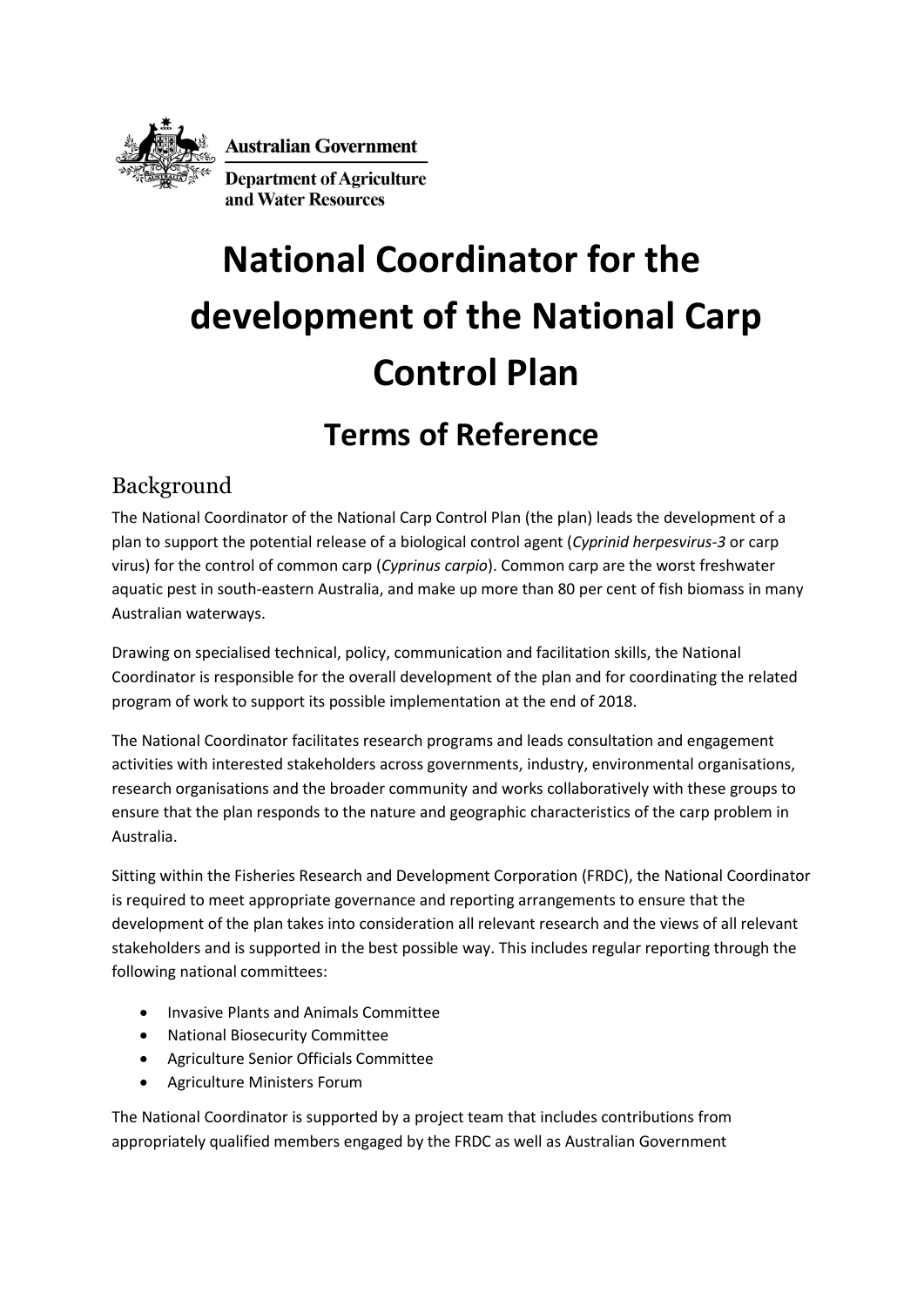

**Australian Government** 

**Department of Agriculture** and Water Resources

# **National Coordinator for the development of the National Carp Control Plan**

## **Terms of Reference**

### Background

The National Coordinator of the National Carp Control Plan (the plan) leads the development of a plan to support the potential release of a biological control agent (*Cyprinid herpesvirus-3* or carp virus) for the control of common carp (*Cyprinus carpio*). Common carp are the worst freshwater aquatic pest in south-eastern Australia, and make up more than 80 per cent of fish biomass in many Australian waterways.

Drawing on specialised technical, policy, communication and facilitation skills, the National Coordinator is responsible for the overall development of the plan and for coordinating the related program of work to support its possible implementation at the end of 2018.

The National Coordinator facilitates research programs and leads consultation and engagement activities with interested stakeholders across governments, industry, environmental organisations, research organisations and the broader community and works collaboratively with these groups to ensure that the plan responds to the nature and geographic characteristics of the carp problem in Australia.

Sitting within the Fisheries Research and Development Corporation (FRDC), the National Coordinator is required to meet appropriate governance and reporting arrangements to ensure that the development of the plan takes into consideration all relevant research and the views of all relevant stakeholders and is supported in the best possible way. This includes regular reporting through the following national committees:

- Invasive Plants and Animals Committee
- National Biosecurity Committee
- Agriculture Senior Officials Committee
- Agriculture Ministers Forum

The National Coordinator is supported by a project team that includes contributions from appropriately qualified members engaged by the FRDC as well as Australian Government